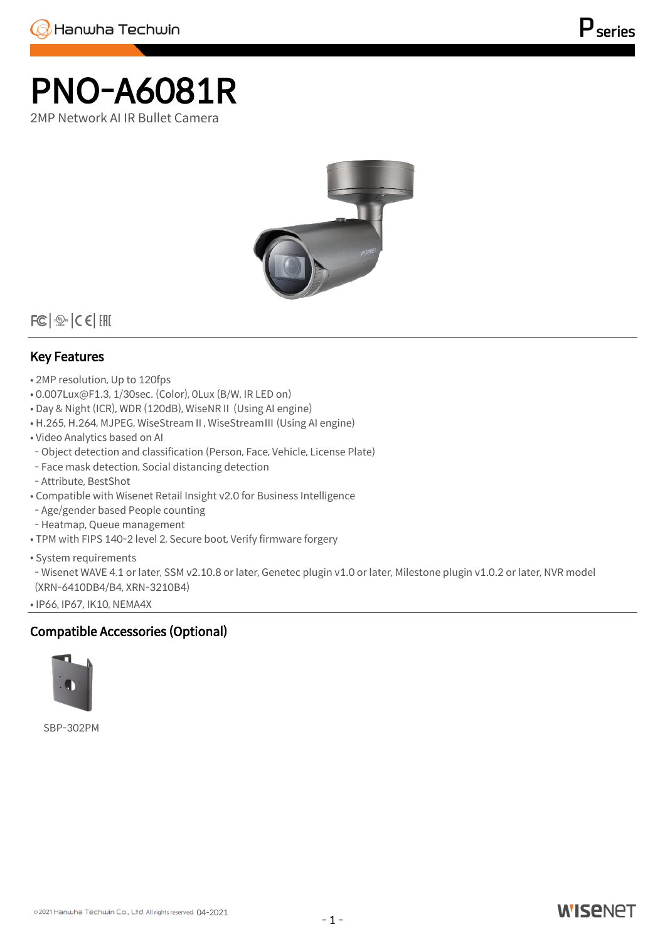## PNO-A6081R 2MP Network AI IR Bullet Camera



 $|FC| \otimes_{\text{user}} | CE|$  [FII

## Key Features

- 2MP resolution, Up to 120fps
- 0.007Lux@F1.3, 1/30sec. (Color), 0Lux (B/W, IR LED on)
- Day & Night (ICR), WDR (120dB), WiseNRⅡ (Using AI engine)
- H.265, H.264, MJPEG, WiseStreamⅡ, WiseStreamⅢ (Using AI engine)
- Video Analytics based on AI
- Object detection and classification (Person, Face, Vehicle, License Plate)
- Face mask detection, Social distancing detection
- Attribute, BestShot
- Compatible with Wisenet Retail Insight v2.0 for Business Intelligence
- Age/gender based People counting
- Heatmap, Queue management
- TPM with FIPS 140-2 level 2, Secure boot, Verify firmware forgery
- System requirements

- Wisenet WAVE 4.1 or later, SSM v2.10.8 or later, Genetec plugin v1.0 or later, Milestone plugin v1.0.2 or later, NVR model (XRN-6410DB4/B4, XRN-3210B4)

• IP66, IP67, IK10, NEMA4X

## Compatible Accessories (Optional)



SBP-302PM

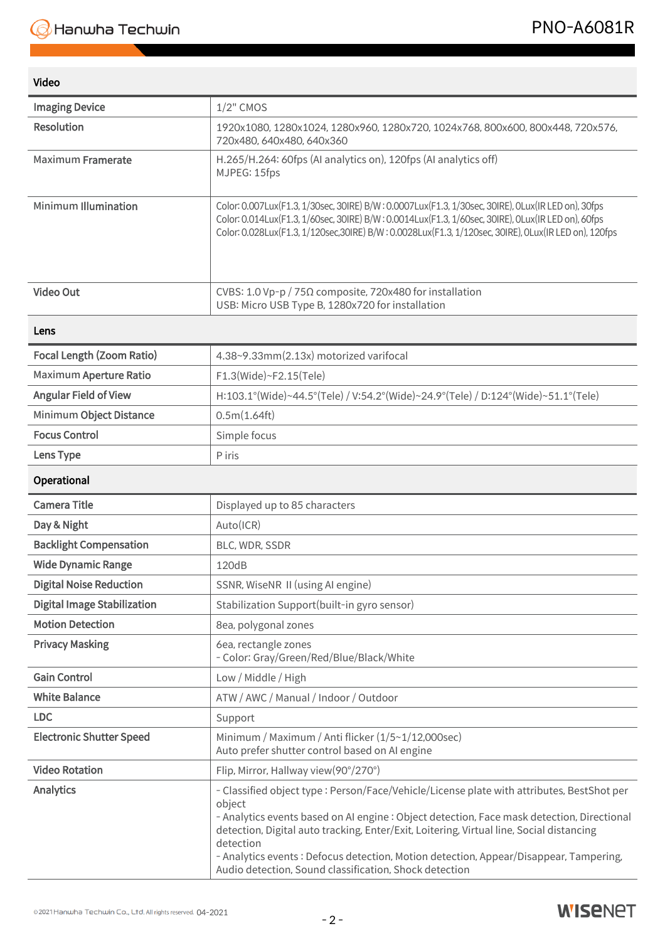## Video

| <b>Imaging Device</b>              | $1/2$ " CMOS                                                                                                                                                                                                                                                                                                                                                                                                                                                    |
|------------------------------------|-----------------------------------------------------------------------------------------------------------------------------------------------------------------------------------------------------------------------------------------------------------------------------------------------------------------------------------------------------------------------------------------------------------------------------------------------------------------|
| <b>Resolution</b>                  | 1920x1080, 1280x1024, 1280x960, 1280x720, 1024x768, 800x600, 800x448, 720x576,<br>720x480, 640x480, 640x360                                                                                                                                                                                                                                                                                                                                                     |
| <b>Maximum Framerate</b>           | H.265/H.264: 60fps (AI analytics on), 120fps (AI analytics off)<br>MJPEG: 15fps                                                                                                                                                                                                                                                                                                                                                                                 |
| <b>Minimum Illumination</b>        | Color: 0.007Lux(F1.3, 1/30sec, 30IRE) B/W: 0.0007Lux(F1.3, 1/30sec, 30IRE), 0Lux(IR LED on), 30fps<br>Color: 0.014Lux(F1.3, 1/60sec, 30IRE) B/W: 0.0014Lux(F1.3, 1/60sec, 30IRE), 0Lux(IR LED on), 60fps<br>Color: 0.028Lux(F1.3, 1/120sec,30IRE) B/W:0.0028Lux(F1.3, 1/120sec, 30IRE), 0Lux(IR LED on), 120fps                                                                                                                                                 |
| <b>Video Out</b>                   | CVBS: 1.0 Vp-p / 75Ω composite, 720x480 for installation<br>USB: Micro USB Type B, 1280x720 for installation                                                                                                                                                                                                                                                                                                                                                    |
| Lens                               |                                                                                                                                                                                                                                                                                                                                                                                                                                                                 |
| <b>Focal Length (Zoom Ratio)</b>   | 4.38~9.33mm(2.13x) motorized varifocal                                                                                                                                                                                                                                                                                                                                                                                                                          |
| <b>Maximum Aperture Ratio</b>      | F1.3(Wide)~F2.15(Tele)                                                                                                                                                                                                                                                                                                                                                                                                                                          |
| <b>Angular Field of View</b>       | H:103.1°(Wide)~44.5°(Tele) / V:54.2°(Wide)~24.9°(Tele) / D:124°(Wide)~51.1°(Tele)                                                                                                                                                                                                                                                                                                                                                                               |
| Minimum Object Distance            | 0.5m(1.64ft)                                                                                                                                                                                                                                                                                                                                                                                                                                                    |
| <b>Focus Control</b>               | Simple focus                                                                                                                                                                                                                                                                                                                                                                                                                                                    |
| Lens Type                          | P iris                                                                                                                                                                                                                                                                                                                                                                                                                                                          |
| Operational                        |                                                                                                                                                                                                                                                                                                                                                                                                                                                                 |
| <b>Camera Title</b>                | Displayed up to 85 characters                                                                                                                                                                                                                                                                                                                                                                                                                                   |
| Day & Night                        | Auto(ICR)                                                                                                                                                                                                                                                                                                                                                                                                                                                       |
| <b>Backlight Compensation</b>      | BLC, WDR, SSDR                                                                                                                                                                                                                                                                                                                                                                                                                                                  |
| <b>Wide Dynamic Range</b>          | 120dB                                                                                                                                                                                                                                                                                                                                                                                                                                                           |
| <b>Digital Noise Reduction</b>     | SSNR, WiseNR II (using AI engine)                                                                                                                                                                                                                                                                                                                                                                                                                               |
| <b>Digital Image Stabilization</b> | Stabilization Support(built-in gyro sensor)                                                                                                                                                                                                                                                                                                                                                                                                                     |
| <b>Motion Detection</b>            | 8ea, polygonal zones                                                                                                                                                                                                                                                                                                                                                                                                                                            |
| <b>Privacy Masking</b>             | 6ea, rectangle zones<br>- Color: Gray/Green/Red/Blue/Black/White                                                                                                                                                                                                                                                                                                                                                                                                |
| <b>Gain Control</b>                | Low / Middle / High                                                                                                                                                                                                                                                                                                                                                                                                                                             |
| <b>White Balance</b>               | ATW / AWC / Manual / Indoor / Outdoor                                                                                                                                                                                                                                                                                                                                                                                                                           |
| <b>LDC</b>                         | Support                                                                                                                                                                                                                                                                                                                                                                                                                                                         |
| <b>Electronic Shutter Speed</b>    | Minimum / Maximum / Anti flicker (1/5~1/12,000sec)<br>Auto prefer shutter control based on AI engine                                                                                                                                                                                                                                                                                                                                                            |
| <b>Video Rotation</b>              | Flip, Mirror, Hallway view(90°/270°)                                                                                                                                                                                                                                                                                                                                                                                                                            |
| <b>Analytics</b>                   | - Classified object type : Person/Face/Vehicle/License plate with attributes, BestShot per<br>object<br>- Analytics events based on AI engine : Object detection, Face mask detection, Directional<br>detection, Digital auto tracking, Enter/Exit, Loitering, Virtual line, Social distancing<br>detection<br>- Analytics events : Defocus detection, Motion detection, Appear/Disappear, Tampering,<br>Audio detection, Sound classification, Shock detection |

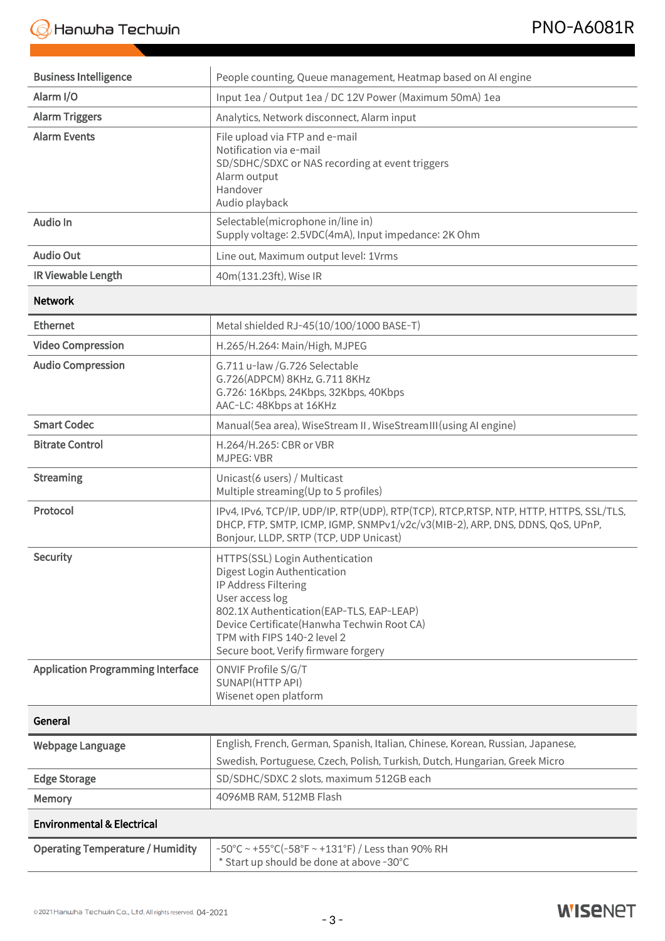| <b>Business Intelligence</b>             | People counting, Queue management, Heatmap based on AI engine                                                                                                                                                                                                                |
|------------------------------------------|------------------------------------------------------------------------------------------------------------------------------------------------------------------------------------------------------------------------------------------------------------------------------|
| Alarm I/O                                | Input 1ea / Output 1ea / DC 12V Power (Maximum 50mA) 1ea                                                                                                                                                                                                                     |
| <b>Alarm Triggers</b>                    | Analytics, Network disconnect, Alarm input                                                                                                                                                                                                                                   |
| <b>Alarm Events</b>                      | File upload via FTP and e-mail<br>Notification via e-mail<br>SD/SDHC/SDXC or NAS recording at event triggers<br>Alarm output<br>Handover<br>Audio playback                                                                                                                   |
| Audio In                                 | Selectable(microphone in/line in)<br>Supply voltage: 2.5VDC(4mA), Input impedance: 2K Ohm                                                                                                                                                                                    |
| <b>Audio Out</b>                         | Line out, Maximum output level: 1Vrms                                                                                                                                                                                                                                        |
| IR Viewable Length                       | 40m(131.23ft), Wise IR                                                                                                                                                                                                                                                       |
| <b>Network</b>                           |                                                                                                                                                                                                                                                                              |
| <b>Ethernet</b>                          | Metal shielded RJ-45(10/100/1000 BASE-T)                                                                                                                                                                                                                                     |
| <b>Video Compression</b>                 | H.265/H.264: Main/High, MJPEG                                                                                                                                                                                                                                                |
| <b>Audio Compression</b>                 | G.711 u-law /G.726 Selectable<br>G.726(ADPCM) 8KHz, G.711 8KHz<br>G.726: 16Kbps, 24Kbps, 32Kbps, 40Kbps<br>AAC-LC: 48Kbps at 16KHz                                                                                                                                           |
| <b>Smart Codec</b>                       | Manual(5ea area), WiseStream II, WiseStream III (using AI engine)                                                                                                                                                                                                            |
| <b>Bitrate Control</b>                   | H.264/H.265: CBR or VBR<br><b>MJPEG: VBR</b>                                                                                                                                                                                                                                 |
| <b>Streaming</b>                         | Unicast(6 users) / Multicast<br>Multiple streaming(Up to 5 profiles)                                                                                                                                                                                                         |
| Protocol                                 | IPv4, IPv6, TCP/IP, UDP/IP, RTP(UDP), RTP(TCP), RTCP,RTSP, NTP, HTTP, HTTPS, SSL/TLS,<br>DHCP, FTP, SMTP, ICMP, IGMP, SNMPv1/v2c/v3(MIB-2), ARP, DNS, DDNS, QoS, UPnP,<br>Bonjour, LLDP, SRTP (TCP, UDP Unicast)                                                             |
| <b>Security</b>                          | HTTPS(SSL) Login Authentication<br>Digest Login Authentication<br>IP Address Filtering<br>User access log<br>802.1X Authentication (EAP-TLS, EAP-LEAP)<br>Device Certificate (Hanwha Techwin Root CA)<br>TPM with FIPS 140-2 level 2<br>Secure boot, Verify firmware forgery |
| <b>Application Programming Interface</b> | ONVIF Profile S/G/T<br>SUNAPI(HTTP API)<br>Wisenet open platform                                                                                                                                                                                                             |
| General                                  |                                                                                                                                                                                                                                                                              |
| <b>Webpage Language</b>                  | English, French, German, Spanish, Italian, Chinese, Korean, Russian, Japanese,                                                                                                                                                                                               |
|                                          | Swedish, Portuguese, Czech, Polish, Turkish, Dutch, Hungarian, Greek Micro                                                                                                                                                                                                   |
| <b>Edge Storage</b>                      | SD/SDHC/SDXC 2 slots, maximum 512GB each                                                                                                                                                                                                                                     |
| Memory                                   | 4096MB RAM, 512MB Flash                                                                                                                                                                                                                                                      |
| <b>Environmental &amp; Electrical</b>    |                                                                                                                                                                                                                                                                              |
| <b>Operating Temperature / Humidity</b>  | $-50^{\circ}$ C ~ +55 $^{\circ}$ C(-58 $^{\circ}$ F ~ +131 $^{\circ}$ F) / Less than 90% RH<br>* Start up should be done at above -30°C                                                                                                                                      |

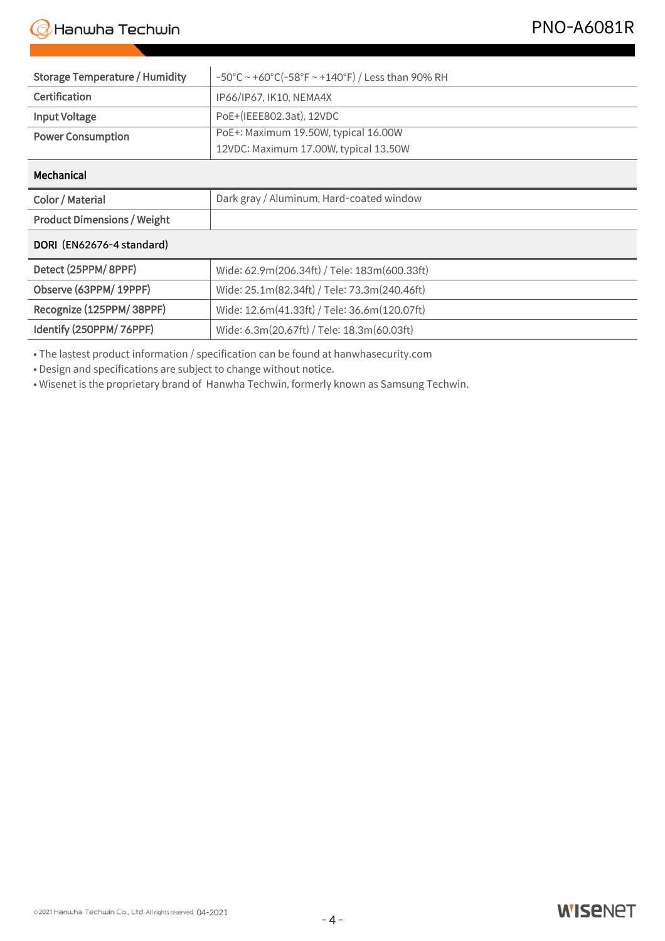| <b>Storage Temperature / Humidity</b> | -50°C ~ +60°C(-58°F ~ +140°F) / Less than 90% RH                                                                          |
|---------------------------------------|---------------------------------------------------------------------------------------------------------------------------|
| Certification                         | IP66/IP67, IK10, NEMA4X                                                                                                   |
| <b>Input Voltage</b>                  | PoE+(IEEE802.3at), 12VDC                                                                                                  |
| <b>Power Consumption</b>              | PoE+: Maximum 19.50W, typical 16.00W                                                                                      |
|                                       | 12VDC: Maximum 17.00W, typical 13.50W                                                                                     |
| Mechanical                            |                                                                                                                           |
|                                       |                                                                                                                           |
| Color / Material                      | Dark gray / Aluminum, Hard-coated window                                                                                  |
| <b>Product Dimensions / Weight</b>    |                                                                                                                           |
| DORI (EN62676-4 standard)             | 091.0x368.6mm (3.58" x 14.51") (Without sunshield), Weight: 2.48Kg (5.47lb) single, double, 4" octagon gangbox compatible |
| Detect (25PPM/8PPF)                   | Wide: 62.9m(206.34ft) / Tele: 183m(600.33ft)                                                                              |
| Observe (63PPM/19PPF)                 | Wide: 25.1m(82.34ft) / Tele: 73.3m(240.46ft)                                                                              |
| Recognize (125PPM/38PPF)              | Wide: 12.6m(41.33ft) / Tele: 36.6m(120.07ft)                                                                              |

• The lastest product information / specification can be found at hanwhasecurity.com

• Design and specifications are subject to change without notice.

• Wisenet is the proprietary brand of Hanwha Techwin, formerly known as Samsung Techwin.